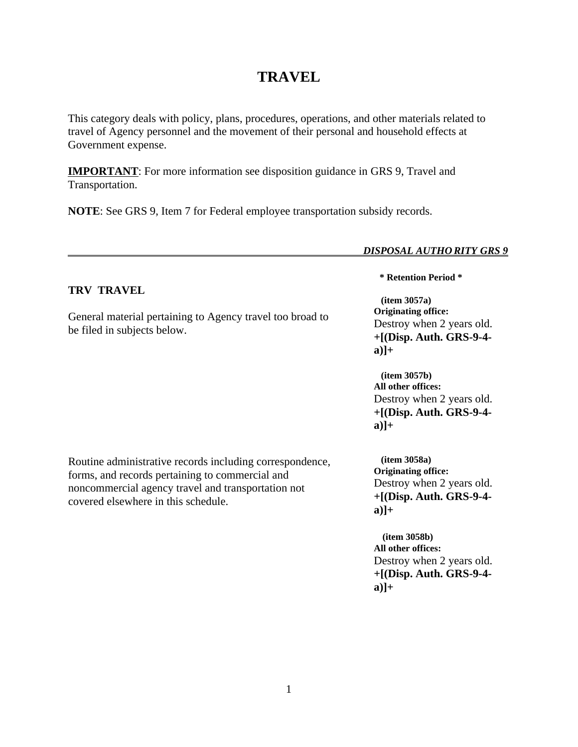# **TRAVEL**

This category deals with policy, plans, procedures, operations, and other materials related to travel of Agency personnel and the movement of their personal and household effects at Government expense.

**IMPORTANT**: For more information see disposition guidance in GRS 9, Travel and Transportation.

**NOTE**: See GRS 9, Item 7 for Federal employee transportation subsidy records.

#### *DISPOSAL AUTHO RITY GRS 9*

# **TRV TRAVEL**

General material pertaining to Agency travel too broad to be filed in subjects below.

**\* Retention Period \***

 **(item 3057a) Originating office:** Destroy when 2 years old. **+[(Disp. Auth. GRS-9-4 a)]+**

 **(item 3057b) All other offices:** Destroy when 2 years old. **+[(Disp. Auth. GRS-9-4 a)]+**

Routine administrative records including correspondence, forms, and records pertaining to commercial and noncommercial agency travel and transportation not covered elsewhere in this schedule.

 **(item 3058a) Originating office:** Destroy when 2 years old. **+[(Disp. Auth. GRS-9-4 a)]+**

 **(item 3058b) All other offices:** Destroy when 2 years old. **+[(Disp. Auth. GRS-9-4 a)]+**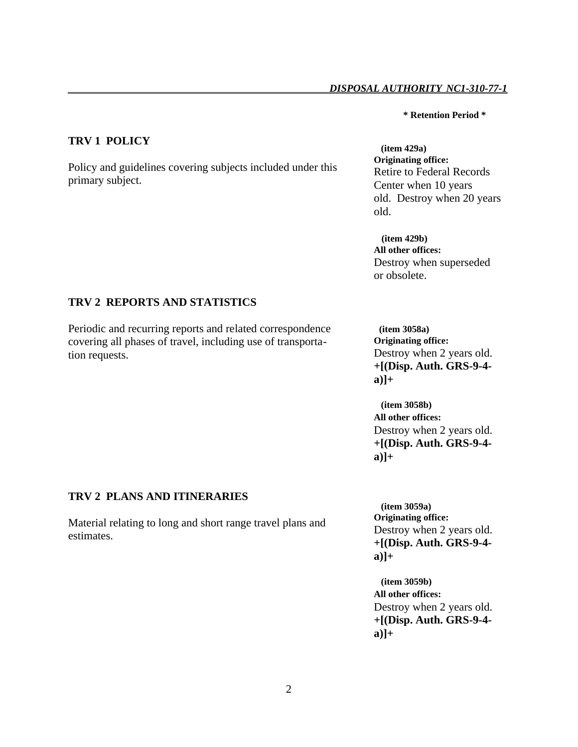## *DISPOSAL AUTHORITY NC1-310-77-1*

#### **\* Retention Period \***

# **TRV 1 POLICY**

Policy and guidelines covering subjects included under this primary subject.

 **(item 429a) Originating office:** Retire to Federal Records Center when 10 years old. Destroy when 20 years old.

 **(item 429b) All other offices:** Destroy when superseded or obsolete.

# **TRV 2 REPORTS AND STATISTICS**

Periodic and recurring reports and related correspondence covering all phases of travel, including use of transportation requests.

 **(item 3058a) Originating office:** Destroy when 2 years old. **+[(Disp. Auth. GRS-9-4 a)]+**

 **(item 3058b) All other offices:** Destroy when 2 years old. **+[(Disp. Auth. GRS-9-4 a)]+**

## **TRV 2 PLANS AND ITINERARIES**

Material relating to long and short range travel plans and estimates.

 **(item 3059a) Originating office:** Destroy when 2 years old. **+[(Disp. Auth. GRS-9-4 a)]+**

 **(item 3059b) All other offices:** Destroy when 2 years old. **+[(Disp. Auth. GRS-9-4 a)]+**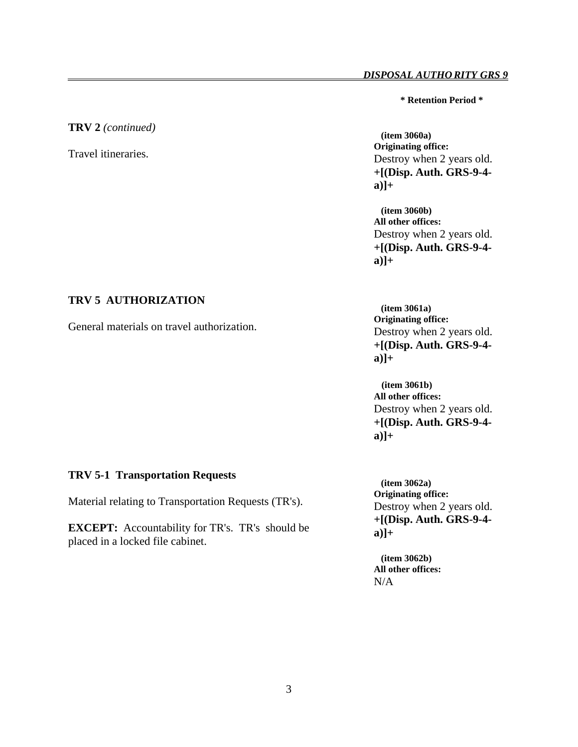**\* Retention Period \***

#### **TRV 2** *(continued)*

Travel itineraries.

 **(item 3060a) Originating office:** Destroy when 2 years old. **+[(Disp. Auth. GRS-9-4 a)]+**

 **(item 3060b) All other offices:** Destroy when 2 years old. **+[(Disp. Auth. GRS-9-4 a)]+**

## **TRV 5 AUTHORIZATION**

General materials on travel authorization.

 **(item 3061a) Originating office:** Destroy when 2 years old. **+[(Disp. Auth. GRS-9-4 a)]+**

 **(item 3061b) All other offices:** Destroy when 2 years old. **+[(Disp. Auth. GRS-9-4 a)]+**

## **TRV 5-1 Transportation Requests**

Material relating to Transportation Requests (TR's).

**EXCEPT:** Accountability for TR's. TR's should be placed in a locked file cabinet.

 **(item 3062a) Originating office:** Destroy when 2 years old. **+[(Disp. Auth. GRS-9-4 a)]+**

 **(item 3062b) All other offices:** N/A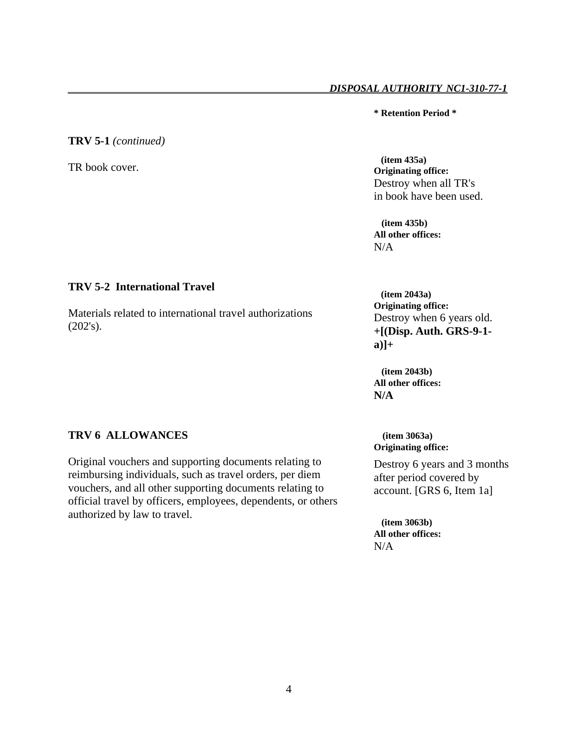#### *DISPOSAL AUTHORITY NC1-310-77-1*

**\* Retention Period \***

# **TRV 5-1** *(continued)*

TR book cover.

# **TRV 5-2 International Travel**

Materials related to international travel authorizations (202's).

# **TRV 6 ALLOWANCES**

Original vouchers and supporting documents relating to reimbursing individuals, such as travel orders, per diem vouchers, and all other supporting documents relating to official travel by officers, employees, dependents, or others authorized by law to travel.

 **(item 435a) Originating office:** Destroy when all TR's in book have been used.

 **(item 435b) All other offices:** N/A

 **(item 2043a) Originating office:** Destroy when 6 years old. **+[(Disp. Auth. GRS-9-1 a)]+**

 **(item 2043b) All other offices: N/A**

 **(item 3063a) Originating office:**

Destroy 6 years and 3 months after period covered by account. [GRS 6, Item 1a]

 **(item 3063b) All other offices:**  $N/A$